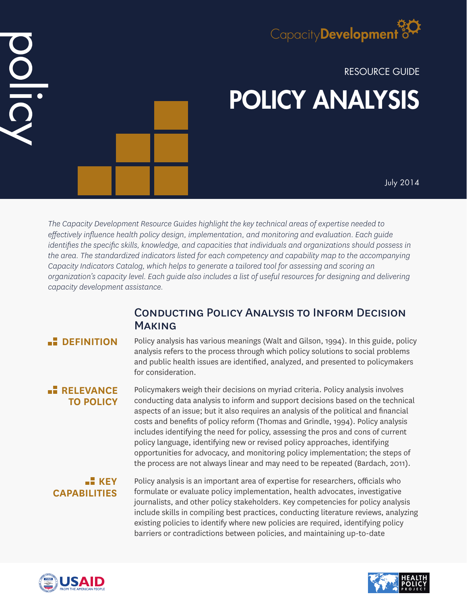# Capacity**Development**

# RESOURCE GUIDE POLICY ANALYSIS

July 2014

*The Capacity Development Resource Guides highlight the key technical areas of expertise needed to effectively influence health policy design, implementation, and monitoring and evaluation. Each guide identifies the specific skills, knowledge, and capacities that individuals and organizations should possess in the area. The standardized indicators listed for each competency and capability map to the accompanying Capacity Indicators Catalog, which helps to generate a tailored tool for assessing and scoring an organization's capacity level. Each guide also includes a list of useful resources for designing and delivering capacity development assistance.*

# Conducting Policy Analysis to Inform Decision **MAKING**

DIDI

**B** DEFINITION Policy analysis has various meanings (Walt and Gilson, 1994). In this guide, policy analysis refers to the process through which policy solutions to social problems and public health issues are identified, analyzed, and presented to policymakers for consideration.

# **RELEVANCE TO POLICY**

Policymakers weigh their decisions on myriad criteria. Policy analysis involves conducting data analysis to inform and support decisions based on the technical aspects of an issue; but it also requires an analysis of the political and financial costs and benefits of policy reform (Thomas and Grindle, 1994). Policy analysis includes identifying the need for policy, assessing the pros and cons of current policy language, identifying new or revised policy approaches, identifying opportunities for advocacy, and monitoring policy implementation; the steps of the process are not always linear and may need to be repeated (Bardach, 2011).

# $\blacksquare$  **KEY CAPABILITIES**

Policy analysis is an important area of expertise for researchers, officials who formulate or evaluate policy implementation, health advocates, investigative journalists, and other policy stakeholders. Key competencies for policy analysis include skills in compiling best practices, conducting literature reviews, analyzing existing policies to identify where new policies are required, identifying policy barriers or contradictions between policies, and maintaining up-to-date



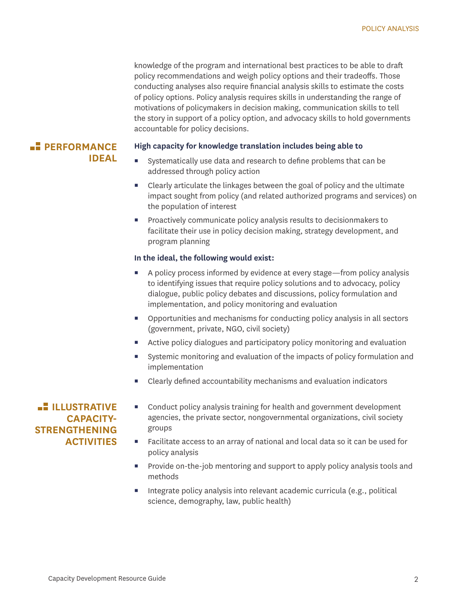knowledge of the program and international best practices to be able to draft policy recommendations and weigh policy options and their tradeoffs. Those conducting analyses also require financial analysis skills to estimate the costs of policy options. Policy analysis requires skills in understanding the range of motivations of policymakers in decision making, communication skills to tell the story in support of a policy option, and advocacy skills to hold governments accountable for policy decisions.

### **PERFORMANCE IDEAL**

#### **High capacity for knowledge translation includes being able to**

- Systematically use data and research to define problems that can be addressed through policy action
- **EXECLE** Clearly articulate the linkages between the goal of policy and the ultimate impact sought from policy (and related authorized programs and services) on the population of interest
- **Proactively communicate policy analysis results to decisionmakers to** facilitate their use in policy decision making, strategy development, and program planning

#### **In the ideal, the following would exist:**

- A policy process informed by evidence at every stage—from policy analysis to identifying issues that require policy solutions and to advocacy, policy dialogue, public policy debates and discussions, policy formulation and implementation, and policy monitoring and evaluation
- Opportunities and mechanisms for conducting policy analysis in all sectors (government, private, NGO, civil society)
- Active policy dialogues and participatory policy monitoring and evaluation
- Systemic monitoring and evaluation of the impacts of policy formulation and implementation
- Clearly defined accountability mechanisms and evaluation indicators

## **ILLUSTRATIVE CAPACITY-STRENGTHENING ACTIVITIES**

- Conduct policy analysis training for health and government development agencies, the private sector, nongovernmental organizations, civil society groups
- Facilitate access to an array of national and local data so it can be used for policy analysis
- **Provide on-the-job mentoring and support to apply policy analysis tools and** methods
- Integrate policy analysis into relevant academic curricula (e.g., political science, demography, law, public health)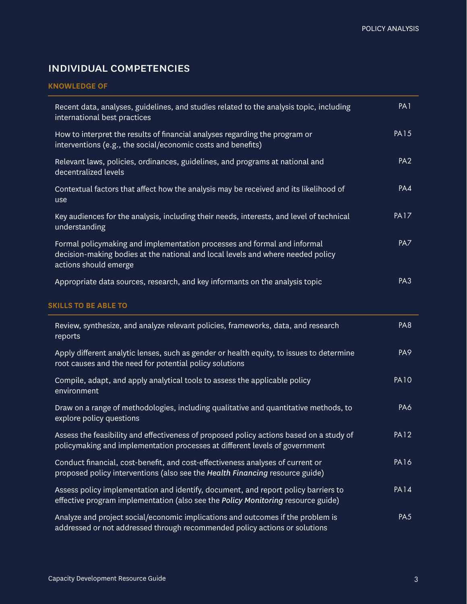# individual competencies

#### **KNOWLEDGE OF**

| Recent data, analyses, guidelines, and studies related to the analysis topic, including<br>international best practices                                                              | PA <sub>1</sub> |
|--------------------------------------------------------------------------------------------------------------------------------------------------------------------------------------|-----------------|
| How to interpret the results of financial analyses regarding the program or<br>interventions (e.g., the social/economic costs and benefits)                                          | <b>PA15</b>     |
| Relevant laws, policies, ordinances, guidelines, and programs at national and<br>decentralized levels                                                                                | PA <sub>2</sub> |
| Contextual factors that affect how the analysis may be received and its likelihood of<br>use                                                                                         | PA4             |
| Key audiences for the analysis, including their needs, interests, and level of technical<br>understanding                                                                            | <b>PA17</b>     |
| Formal policymaking and implementation processes and formal and informal<br>decision-making bodies at the national and local levels and where needed policy<br>actions should emerge | PA7             |
| Appropriate data sources, research, and key informants on the analysis topic                                                                                                         | PA <sub>3</sub> |
| <b>SKILLS TO BE ABLE TO</b>                                                                                                                                                          |                 |
| Review, synthesize, and analyze relevant policies, frameworks, data, and research<br>reports                                                                                         | PA8             |
| Apply different analytic lenses, such as gender or health equity, to issues to determine<br>root causes and the need for potential policy solutions                                  | PA <sub>9</sub> |
| Compile, adapt, and apply analytical tools to assess the applicable policy<br>environment                                                                                            | <b>PA10</b>     |
| Draw on a range of methodologies, including qualitative and quantitative methods, to<br>explore policy questions                                                                     | PA6             |
| Assess the feasibility and effectiveness of proposed policy actions based on a study of<br>policymaking and implementation processes at different levels of government               | <b>PA12</b>     |
| Conduct financial, cost-benefit, and cost-effectiveness analyses of current or<br>proposed policy interventions (also see the Health Financing resource guide)                       | <b>PA16</b>     |
| Assess policy implementation and identify, document, and report policy barriers to                                                                                                   |                 |
| effective program implementation (also see the Policy Monitoring resource guide)                                                                                                     | <b>PA14</b>     |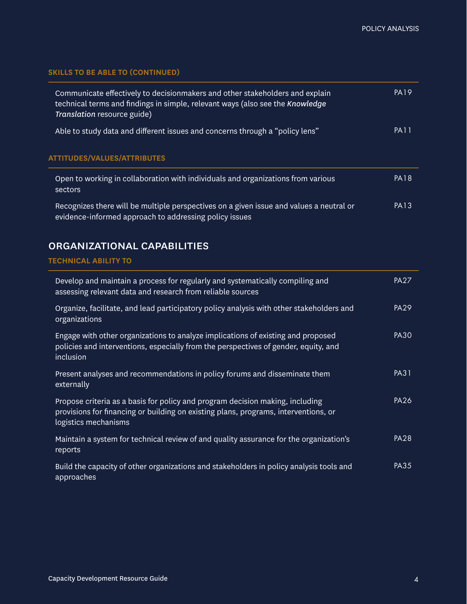### **SKILLS TO BE ABLE TO (CONTINUED)**

| Communicate effectively to decisionmakers and other stakeholders and explain<br>technical terms and findings in simple, relevant ways (also see the Knowledge<br>Translation resource guide) | <b>PA19</b> |
|----------------------------------------------------------------------------------------------------------------------------------------------------------------------------------------------|-------------|
| Able to study data and different issues and concerns through a "policy lens"                                                                                                                 | <b>PA11</b> |
| <b>ATTITUDES/VALUES/ATTRIBUTES</b>                                                                                                                                                           |             |
| Open to working in collaboration with individuals and organizations from various<br>sectors                                                                                                  | <b>PA18</b> |
| Recognizes there will be multiple perspectives on a given issue and values a neutral or<br>evidence-informed approach to addressing policy issues                                            | <b>PA13</b> |

## organizational capabilities

#### **TECHNICAL ABILITY TO**

| Develop and maintain a process for regularly and systematically compiling and<br>assessing relevant data and research from reliable sources                                                  | <b>PA27</b> |
|----------------------------------------------------------------------------------------------------------------------------------------------------------------------------------------------|-------------|
| Organize, facilitate, and lead participatory policy analysis with other stakeholders and<br>organizations                                                                                    | <b>PA29</b> |
| Engage with other organizations to analyze implications of existing and proposed<br>policies and interventions, especially from the perspectives of gender, equity, and<br>inclusion         | <b>PA30</b> |
| Present analyses and recommendations in policy forums and disseminate them<br>externally                                                                                                     | <b>PA31</b> |
| Propose criteria as a basis for policy and program decision making, including<br>provisions for financing or building on existing plans, programs, interventions, or<br>logistics mechanisms | <b>PA26</b> |
| Maintain a system for technical review of and quality assurance for the organization's<br>reports                                                                                            | <b>PA28</b> |
| Build the capacity of other organizations and stakeholders in policy analysis tools and<br>approaches                                                                                        | <b>PA35</b> |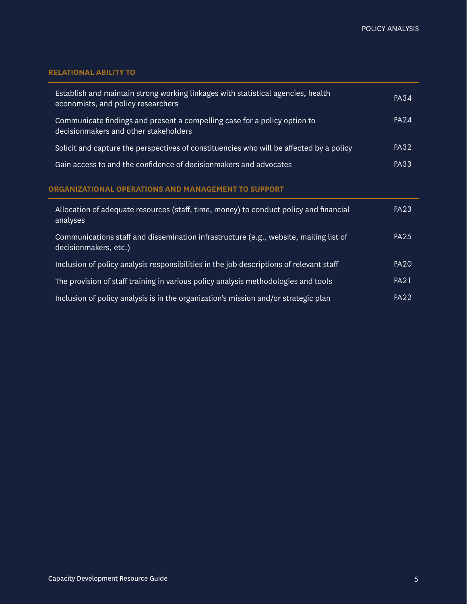## **RELATIONAL ABILITY TO**

| Establish and maintain strong working linkages with statistical agencies, health<br>economists, and policy researchers | PA34             |
|------------------------------------------------------------------------------------------------------------------------|------------------|
| Communicate findings and present a compelling case for a policy option to<br>decisionmakers and other stakeholders     | PA <sub>24</sub> |
| Solicit and capture the perspectives of constituencies who will be affected by a policy                                | <b>PA32</b>      |
| Gain access to and the confidence of decision makers and advocates                                                     | PA33             |

#### **ORGANIZATIONAL OPERATIONS AND MANAGEMENT TO SUPPORT**

| Allocation of adequate resources (staff, time, money) to conduct policy and financial<br>analyses              | <b>PA23</b> |
|----------------------------------------------------------------------------------------------------------------|-------------|
| Communications staff and dissemination infrastructure (e.g., website, mailing list of<br>decisionmakers, etc.) | <b>PA25</b> |
| Inclusion of policy analysis responsibilities in the job descriptions of relevant staff                        | <b>PA20</b> |
| The provision of staff training in various policy analysis methodologies and tools                             | <b>PA21</b> |
| Inclusion of policy analysis is in the organization's mission and/or strategic plan                            | <b>PA22</b> |